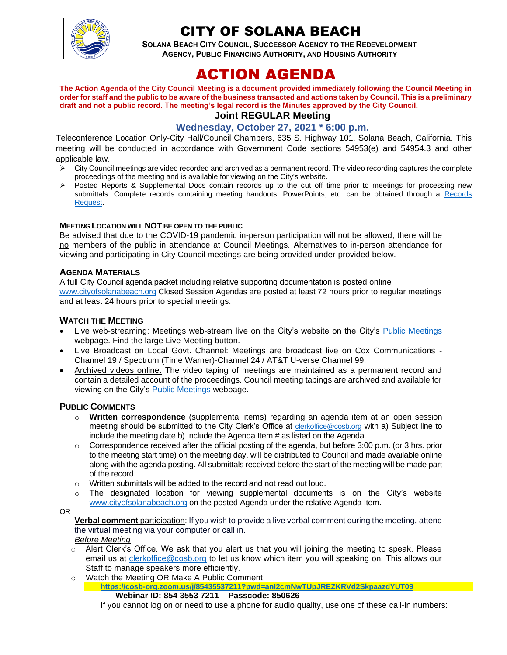

# CITY OF SOLANA BEACH

**SOLANA BEACH CITY COUNCIL, SUCCESSOR AGENCY TO THE REDEVELOPMENT AGENCY, PUBLIC FINANCING AUTHORITY, AND HOUSING AUTHORITY** 

# ACTION AGENDA

**The Action Agenda of the City Council Meeting is a document provided immediately following the Council Meeting in order for staff and the public to be aware of the business transacted and actions taken by Council. This is a preliminary draft and not a public record. The meeting's legal record is the Minutes approved by the City Council. Joint REGULAR Meeting**

# **Wednesday, October 27, 2021 \* 6:00 p.m.**

Teleconference Location Only-City Hall/Council Chambers, 635 S. Highway 101, Solana Beach, California. This meeting will be conducted in accordance with Government Code sections 54953(e) and 54954.3 and other applicable law.

- ➢ City Council meetings are video recorded and archived as a permanent record. The video recording captures the complete proceedings of the meeting and is available for viewing on the City's website.
- Posted Reports & Supplemental Docs contain records up to the cut off time prior to meetings for processing new submittals. Complete records containing meeting handouts, PowerPoints, etc. can be obtained through a Records [Request.](http://www.ci.solana-beach.ca.us/index.asp?SEC=F5D45D10-70CE-4291-A27C-7BD633FC6742&Type=B_BASIC)

#### **MEETING LOCATION WILL NOT BE OPEN TO THE PUBLIC**

Be advised that due to the COVID-19 pandemic in-person participation will not be allowed, there will be no members of the public in attendance at Council Meetings. Alternatives to in-person attendance for viewing and participating in City Council meetings are being provided under provided below.

## **AGENDA MATERIALS**

A full City Council agenda packet including relative supporting documentation is posted online [www.cityofsolanabeach.org](http://www.cityofsolanabeach.org/) Closed Session Agendas are posted at least 72 hours prior to regular meetings and at least 24 hours prior to special meetings.

## **WATCH THE MEETING**

- Live web-streaming: Meetings web-stream live on the City's website on the City's [Public Meetings](https://urldefense.proofpoint.com/v2/url?u=https-3A__www.ci.solana-2Dbeach.ca.us_index.asp-3FSEC-3DF0F1200D-2D21C6-2D4A88-2D8AE1-2D0BC07C1A81A7-26Type-3DB-5FBASIC&d=DwMFAg&c=euGZstcaTDllvimEN8b7jXrwqOf-v5A_CdpgnVfiiMM&r=1XAsCUuqwK_tji2t0s1uIQ&m=wny2RVfZJ2tN24LkqZmkUWNpwL_peNtTZUBlTBZiMM4&s=WwpcEQpHHkFen6nS6q2waMuQ_VMZ-i1YZ60lD-dYRRE&e=) webpage. Find the large Live Meeting button.
- Live Broadcast on Local Govt. Channel: Meetings are broadcast live on Cox Communications Channel 19 / Spectrum (Time Warner)-Channel 24 / AT&T U-verse Channel 99.
- Archived videos online: The video taping of meetings are maintained as a permanent record and contain a detailed account of the proceedings. Council meeting tapings are archived and available for viewing on the City's **Public Meetings webpage.**

## **PUBLIC COMMENTS**

- o **Written correspondence** (supplemental items) regarding an agenda item at an open session meeting should be submitted to the City Clerk's Office at [clerkoffice@cosb.org](mailto:clerkoffice@cosb.org) with a) Subject line to include the meeting date b) Include the Agenda Item # as listed on the Agenda.
- $\circ$  Correspondence received after the official posting of the agenda, but before 3:00 p.m. (or 3 hrs. prior to the meeting start time) on the meeting day, will be distributed to Council and made available online along with the agenda posting. All submittals received before the start of the meeting will be made part of the record.
- o Written submittals will be added to the record and not read out loud.
- $\circ$  The designated location for viewing supplemental documents is on the City's website [www.cityofsolanabeach.org](http://www.cityofsolanabeach.org/) on the posted Agenda under the relative Agenda Item.

#### OR

**Verbal comment** participation: If you wish to provide a live verbal comment during the meeting, attend the virtual meeting via your computer or call in.

#### *Before Meeting*

- $\circ$  Alert Clerk's Office. We ask that you alert us that you will joining the meeting to speak. Please email us at [clerkoffice@cosb.org](mailto:clerkoffice@cosb.org) to let us know which item you will speaking on. This allows our Staff to manage speakers more efficiently.
- o Watch the Meeting OR Make A Public Comment
	- **<https://cosb-org.zoom.us/j/85435537211?pwd=anI2cmNwTUpJREZKRVd2SkpaazdYUT09> Webinar ID: 854 3553 7211 Passcode: 850626**

If you cannot log on or need to use a phone for audio quality, use one of these call-in numbers: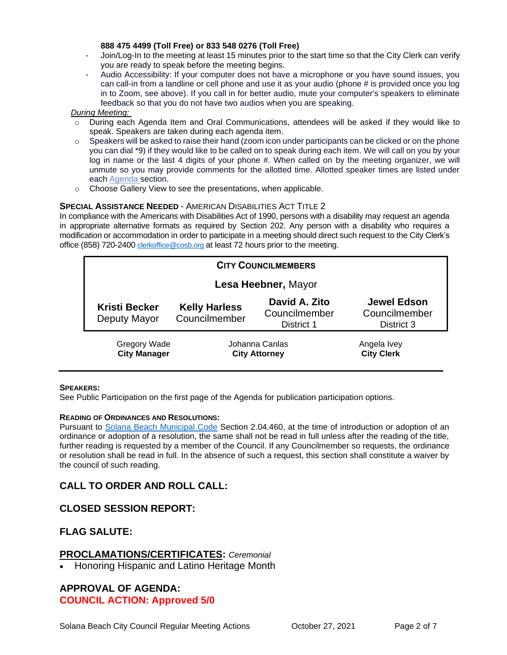#### **888 475 4499 (Toll Free) or 833 548 0276 (Toll Free)**

- Join/Log-In to the meeting at least 15 minutes prior to the start time so that the City Clerk can verify you are ready to speak before the meeting begins.
- Audio Accessibility: If your computer does not have a microphone or you have sound issues, you can call-in from a landline or cell phone and use it as your audio (phone # is provided once you log in to Zoom, see above). If you call in for better audio, mute your computer's speakers to eliminate feedback so that you do not have two audios when you are speaking.

#### *During Meeting:*

- o During each Agenda Item and Oral Communications, attendees will be asked if they would like to speak. Speakers are taken during each agenda item.
- $\circ$  Speakers will be asked to raise their hand (zoom icon under participants can be clicked or on the phone you can dial \*9) if they would like to be called on to speak during each item. We will call on you by your log in name or the last 4 digits of your phone #. When called on by the meeting organizer, we will unmute so you may provide comments for the allotted time. Allotted speaker times are listed under each [Agenda s](https://urldefense.proofpoint.com/v2/url?u=https-3A__www.ci.solana-2Dbeach.ca.us_index.asp-3FSEC-3DF0F1200D-2D21C6-2D4A88-2D8AE1-2D0BC07C1A81A7-26Type-3DB-5FBASIC&d=DwMFaQ&c=euGZstcaTDllvimEN8b7jXrwqOf-v5A_CdpgnVfiiMM&r=1XAsCUuqwK_tji2t0s1uIQ&m=C7WzXfOw2_nkEFMJClT55zZsF4tmIf_7KTn0o1WpYqI&s=3DcsWExM2_nx_xpvFtXslUjphiXd0MDCCF18y_Qy5yU&e=)ection.
- o Choose Gallery View to see the presentations, when applicable.

## **SPECIAL ASSISTANCE NEEDED** - AMERICAN DISABILITIES ACT TITLE 2

In compliance with the Americans with Disabilities Act of 1990, persons with a disability may request an agenda in appropriate alternative formats as required by Section 202. Any person with a disability who requires a modification or accommodation in order to participate in a meeting should direct such request to the City Clerk's office (858) 720-2400 [clerkoffice@cosb.org](mailto:EMAILGRP-CityClerksOfc@cosb.org) at least 72 hours prior to the meeting.

| <b>CITY COUNCILMEMBERS</b>                 |                                        |                                              |                                                   |
|--------------------------------------------|----------------------------------------|----------------------------------------------|---------------------------------------------------|
| Lesa Heebner, Mayor                        |                                        |                                              |                                                   |
| <b>Kristi Becker</b><br>Deputy Mayor       | <b>Kelly Harless</b><br>Councilmember  | David A. Zito<br>Councilmember<br>District 1 | <b>Jewel Edson</b><br>Councilmember<br>District 3 |
| <b>Gregory Wade</b><br><b>City Manager</b> | Johanna Canlas<br><b>City Attorney</b> |                                              | Angela Ivey<br><b>City Clerk</b>                  |

#### **SPEAKERS:**

See Public Participation on the first page of the Agenda for publication participation options.

#### **READING OF ORDINANCES AND RESOLUTIONS:**

Pursuant to [Solana Beach Municipal Code](https://www.codepublishing.com/CA/SolanaBeach/) Section 2.04.460, at the time of introduction or adoption of an ordinance or adoption of a resolution, the same shall not be read in full unless after the reading of the title, further reading is requested by a member of the Council. If any Councilmember so requests, the ordinance or resolution shall be read in full. In the absence of such a request, this section shall constitute a waiver by the council of such reading.

# **CALL TO ORDER AND ROLL CALL:**

# **CLOSED SESSION REPORT:**

# **FLAG SALUTE:**

## **PROCLAMATIONS/CERTIFICATES:** *Ceremonial*

• Honoring Hispanic and Latino Heritage Month

# **APPROVAL OF AGENDA: COUNCIL ACTION: Approved 5/0**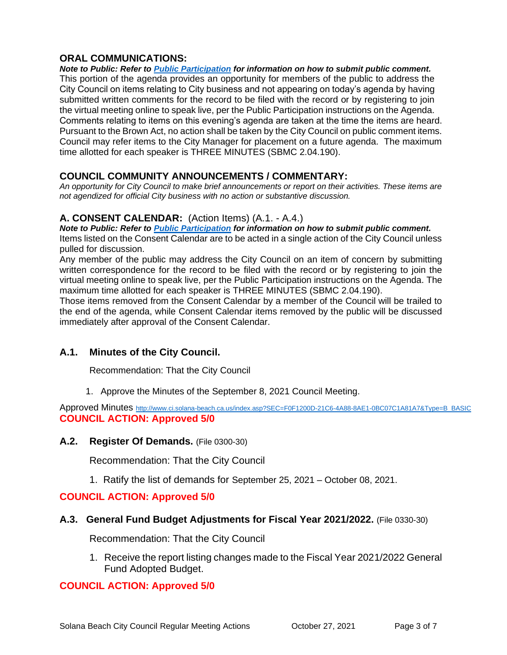# **ORAL COMMUNICATIONS:**

*Note to Public: Refer to Public Participation for information on how to submit public comment.*  This portion of the agenda provides an opportunity for members of the public to address the City Council on items relating to City business and not appearing on today's agenda by having submitted written comments for the record to be filed with the record or by registering to join the virtual meeting online to speak live, per the Public Participation instructions on the Agenda. Comments relating to items on this evening's agenda are taken at the time the items are heard. Pursuant to the Brown Act, no action shall be taken by the City Council on public comment items. Council may refer items to the City Manager for placement on a future agenda. The maximum time allotted for each speaker is THREE MINUTES (SBMC 2.04.190).

# **COUNCIL COMMUNITY ANNOUNCEMENTS / COMMENTARY:**

*An opportunity for City Council to make brief announcements or report on their activities. These items are not agendized for official City business with no action or substantive discussion.* 

# **A. CONSENT CALENDAR:** (Action Items) (A.1. - A.4.)

*Note to Public: Refer to Public Participation for information on how to submit public comment.*  Items listed on the Consent Calendar are to be acted in a single action of the City Council unless pulled for discussion.

Any member of the public may address the City Council on an item of concern by submitting written correspondence for the record to be filed with the record or by registering to join the virtual meeting online to speak live, per the Public Participation instructions on the Agenda. The maximum time allotted for each speaker is THREE MINUTES (SBMC 2.04.190).

Those items removed from the Consent Calendar by a member of the Council will be trailed to the end of the agenda, while Consent Calendar items removed by the public will be discussed immediately after approval of the Consent Calendar.

# **A.1. Minutes of the City Council.**

Recommendation: That the City Council

1. Approve the Minutes of the September 8, 2021 Council Meeting.

Approved Minutes [http://www.ci.solana-beach.ca.us/index.asp?SEC=F0F1200D-21C6-4A88-8AE1-0BC07C1A81A7&Type=B\\_BASIC](http://www.ci.solana-beach.ca.us/index.asp?SEC=F0F1200D-21C6-4A88-8AE1-0BC07C1A81A7&Type=B_BASIC) **COUNCIL ACTION: Approved 5/0**

## **A.2. Register Of Demands.** (File 0300-30)

Recommendation: That the City Council

1. Ratify the list of demands for September 25, 2021 – October 08, 2021.

# **COUNCIL ACTION: Approved 5/0**

## **A.3. General Fund Budget Adjustments for Fiscal Year 2021/2022.** (File 0330-30)

Recommendation: That the City Council

1. Receive the report listing changes made to the Fiscal Year 2021/2022 General Fund Adopted Budget.

# **COUNCIL ACTION: Approved 5/0**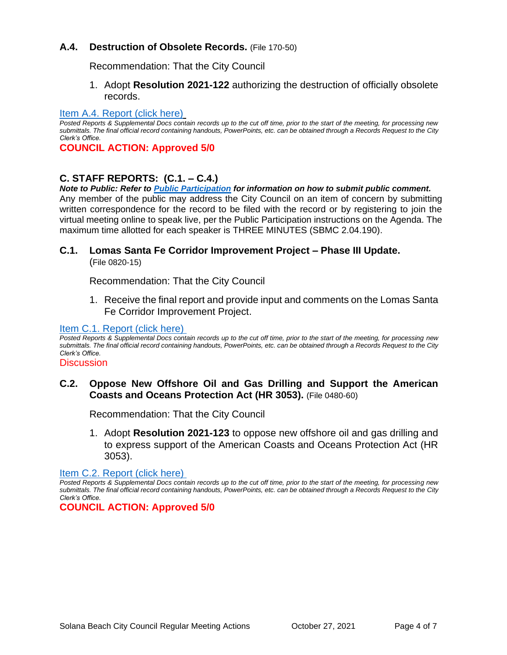# **A.4. Destruction of Obsolete Records.** (File 170-50)

Recommendation: That the City Council

1. Adopt **Resolution 2021-122** authorizing the destruction of officially obsolete records.

## [Item A.4. Report \(click here\)](https://solanabeach.govoffice3.com/vertical/Sites/%7B840804C2-F869-4904-9AE3-720581350CE7%7D/uploads/Item_A.4._Report_(click_here)_-_10-27-21_O.pdf)

*Posted Reports & Supplemental Docs contain records up to the cut off time, prior to the start of the meeting, for processing new submittals. The final official record containing handouts, PowerPoints, etc. can be obtained through a Records Request to the City Clerk's Office.*

**COUNCIL ACTION: Approved 5/0**

# **C. STAFF REPORTS: (C.1. – C.4.)**

*Note to Public: Refer to Public Participation for information on how to submit public comment.*  Any member of the public may address the City Council on an item of concern by submitting written correspondence for the record to be filed with the record or by registering to join the virtual meeting online to speak live, per the Public Participation instructions on the Agenda. The maximum time allotted for each speaker is THREE MINUTES (SBMC 2.04.190).

# **C.1. Lomas Santa Fe Corridor Improvement Project – Phase III Update.**

(File 0820-15)

Recommendation: That the City Council

1. Receive the final report and provide input and comments on the Lomas Santa Fe Corridor Improvement Project.

## [Item C.1. Report \(click here\)](https://solanabeach.govoffice3.com/vertical/Sites/%7B840804C2-F869-4904-9AE3-720581350CE7%7D/uploads/Item_C.1._Report_(click_here)_-_10-27-21_O.pdf)

*Posted Reports & Supplemental Docs contain records up to the cut off time, prior to the start of the meeting, for processing new submittals. The final official record containing handouts, PowerPoints, etc. can be obtained through a Records Request to the City Clerk's Office.*

#### **Discussion**

# **C.2. Oppose New Offshore Oil and Gas Drilling and Support the American Coasts and Oceans Protection Act (HR 3053).** (File 0480-60)

Recommendation: That the City Council

1. Adopt **Resolution 2021-123** to oppose new offshore oil and gas drilling and to express support of the American Coasts and Oceans Protection Act (HR 3053).

[Item C.2. Report](https://solanabeach.govoffice3.com/vertical/Sites/%7B840804C2-F869-4904-9AE3-720581350CE7%7D/uploads/Item_C.2._Report_(click_here)_-_10-27-21_O.pdf) (click here)

*Posted Reports & Supplemental Docs contain records up to the cut off time, prior to the start of the meeting, for processing new submittals. The final official record containing handouts, PowerPoints, etc. can be obtained through a Records Request to the City Clerk's Office.*

**COUNCIL ACTION: Approved 5/0**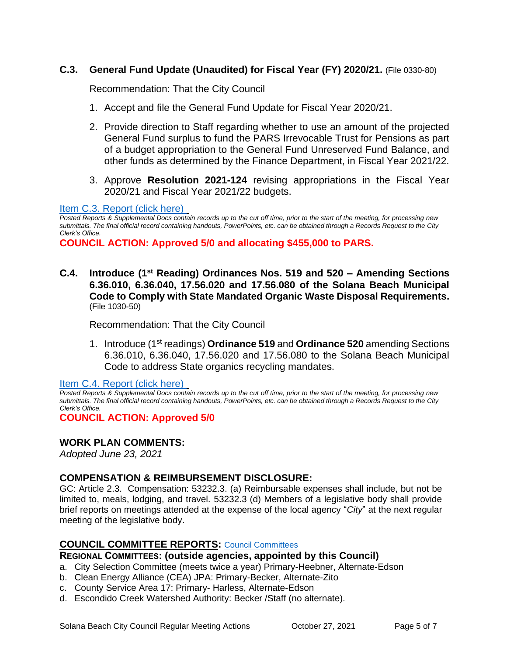# **C.3. General Fund Update (Unaudited) for Fiscal Year (FY) 2020/21.** (File 0330-80)

Recommendation: That the City Council

- 1. Accept and file the General Fund Update for Fiscal Year 2020/21.
- 2. Provide direction to Staff regarding whether to use an amount of the projected General Fund surplus to fund the PARS Irrevocable Trust for Pensions as part of a budget appropriation to the General Fund Unreserved Fund Balance, and other funds as determined by the Finance Department, in Fiscal Year 2021/22.
- 3. Approve **Resolution 2021-124** revising appropriations in the Fiscal Year 2020/21 and Fiscal Year 2021/22 budgets.

## [Item C.3. Report \(click here\)](https://solanabeach.govoffice3.com/vertical/Sites/%7B840804C2-F869-4904-9AE3-720581350CE7%7D/uploads/Item_C.3._Report_(click_here)_-_10-27-21_O.pdf)

*Posted Reports & Supplemental Docs contain records up to the cut off time, prior to the start of the meeting, for processing new submittals. The final official record containing handouts, PowerPoints, etc. can be obtained through a Records Request to the City Clerk's Office.*

**COUNCIL ACTION: Approved 5/0 and allocating \$455,000 to PARS.** 

**C.4. Introduce (1st Reading) Ordinances Nos. 519 and 520 – Amending Sections 6.36.010, 6.36.040, 17.56.020 and 17.56.080 of the Solana Beach Municipal Code to Comply with State Mandated Organic Waste Disposal Requirements.** (File 1030-50)

Recommendation: That the City Council

1. Introduce (1st readings) **Ordinance 519** and **Ordinance 520** amending Sections 6.36.010, 6.36.040, 17.56.020 and 17.56.080 to the Solana Beach Municipal Code to address State organics recycling mandates.

[Item C.4. Report \(click here\)](https://solanabeach.govoffice3.com/vertical/Sites/%7B840804C2-F869-4904-9AE3-720581350CE7%7D/uploads/Item_C.4._Report_(click_here)_-_10-27-21_O.pdf) 

*Posted Reports & Supplemental Docs contain records up to the cut off time, prior to the start of the meeting, for processing new submittals. The final official record containing handouts, PowerPoints, etc. can be obtained through a Records Request to the City Clerk's Office.*

**COUNCIL ACTION: Approved 5/0**

## **WORK PLAN COMMENTS:**

*Adopted June 23, 2021*

## **COMPENSATION & REIMBURSEMENT DISCLOSURE:**

GC: Article 2.3. Compensation: 53232.3. (a) Reimbursable expenses shall include, but not be limited to, meals, lodging, and travel. 53232.3 (d) Members of a legislative body shall provide brief reports on meetings attended at the expense of the local agency "*City*" at the next regular meeting of the legislative body.

## **COUNCIL COMMITTEE REPORTS:** [Council Committees](https://www.ci.solana-beach.ca.us/index.asp?SEC=584E1192-3850-46EA-B977-088AC3E81E0D&Type=B_BASIC)

**REGIONAL COMMITTEES: (outside agencies, appointed by this Council)**

- a. City Selection Committee (meets twice a year) Primary-Heebner, Alternate-Edson
- b. Clean Energy Alliance (CEA) JPA: Primary-Becker, Alternate-Zito
- c. County Service Area 17: Primary- Harless, Alternate-Edson
- d. Escondido Creek Watershed Authority: Becker /Staff (no alternate).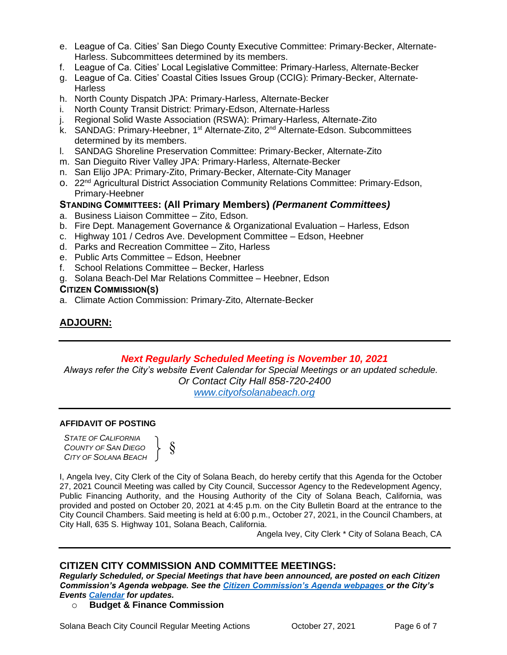- e. League of Ca. Cities' San Diego County Executive Committee: Primary-Becker, Alternate-Harless. Subcommittees determined by its members.
- f. League of Ca. Cities' Local Legislative Committee: Primary-Harless, Alternate-Becker
- g. League of Ca. Cities' Coastal Cities Issues Group (CCIG): Primary-Becker, Alternate-**Harless**
- h. North County Dispatch JPA: Primary-Harless, Alternate-Becker
- i. North County Transit District: Primary-Edson, Alternate-Harless
- j. Regional Solid Waste Association (RSWA): Primary-Harless, Alternate-Zito
- k. SANDAG: Primary-Heebner, 1<sup>st</sup> Alternate-Zito, 2<sup>nd</sup> Alternate-Edson. Subcommittees determined by its members.
- l. SANDAG Shoreline Preservation Committee: Primary-Becker, Alternate-Zito
- m. San Dieguito River Valley JPA: Primary-Harless, Alternate-Becker
- n. San Elijo JPA: Primary-Zito, Primary-Becker, Alternate-City Manager
- o. 22<sup>nd</sup> Agricultural District Association Community Relations Committee: Primary-Edson, Primary-Heebner

## **STANDING COMMITTEES: (All Primary Members)** *(Permanent Committees)*

- a. Business Liaison Committee Zito, Edson.
- b. Fire Dept. Management Governance & Organizational Evaluation Harless, Edson
- c. Highway 101 / Cedros Ave. Development Committee Edson, Heebner
- d. Parks and Recreation Committee Zito, Harless
- e. Public Arts Committee Edson, Heebner
- f. School Relations Committee Becker, Harless
- g. Solana Beach-Del Mar Relations Committee Heebner, Edson

## **CITIZEN COMMISSION(S)**

a. Climate Action Commission: Primary-Zito, Alternate-Becker

# **ADJOURN:**

## *Next Regularly Scheduled Meeting is November 10, 2021*

*Always refer the City's website Event Calendar for Special Meetings or an updated schedule. Or Contact City Hall 858-720-2400*

*[www.cityofsolanabeach.org](http://www.cityofsolanabeach.org/)* 

#### **AFFIDAVIT OF POSTING**

*STATE OF CALIFORNIA COUNTY OF SAN DIEGO CITY OF SOLANA BEACH*

§

I, Angela Ivey, City Clerk of the City of Solana Beach, do hereby certify that this Agenda for the October 27, 2021 Council Meeting was called by City Council, Successor Agency to the Redevelopment Agency, Public Financing Authority, and the Housing Authority of the City of Solana Beach, California, was provided and posted on October 20, 2021 at 4:45 p.m. on the City Bulletin Board at the entrance to the City Council Chambers. Said meeting is held at 6:00 p.m., October 27, 2021, in the Council Chambers, at City Hall, 635 S. Highway 101, Solana Beach, California.

Angela Ivey, City Clerk \* City of Solana Beach, CA

# **CITIZEN CITY COMMISSION AND COMMITTEE MEETINGS:**

*Regularly Scheduled, or Special Meetings that have been announced, are posted on each Citizen Commission's Agenda webpage. See the [Citizen Commission's Agenda webpages o](https://www.ci.solana-beach.ca.us/index.asp?SEC=3302C065-5C8A-43D2-88C2-F03C61D1DA2A&Type=B_BASIC)r the City's Events [Calendar](https://www.ci.solana-beach.ca.us/index.asp?SEC=FA26EC83-8D1C-4941-A3B2-20CA81EDCDDE&Type=B_EV) for updates.* 

## o **Budget & Finance Commission**